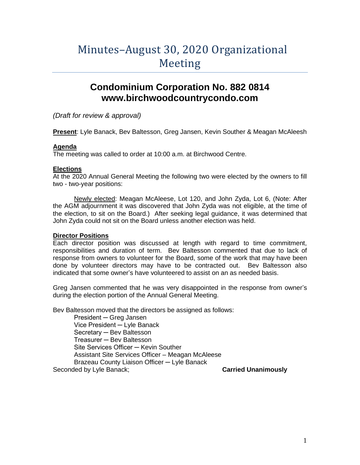# Minutes–August 30, 2020 Organizational **Meeting**

# **Condominium Corporation No. 882 0814 www.birchwoodcountrycondo.com**

*(Draft for review & approval)*

**Present**: Lyle Banack, Bev Baltesson, Greg Jansen, Kevin Souther & Meagan McAleesh

## **Agenda**

The meeting was called to order at 10:00 a.m. at Birchwood Centre.

## **Elections**

At the 2020 Annual General Meeting the following two were elected by the owners to fill two - two-year positions:

Newly elected: Meagan McAleese, Lot 120, and John Zyda, Lot 6, (Note: After the AGM adjournment it was discovered that John Zyda was not eligible, at the time of the election, to sit on the Board.) After seeking legal guidance, it was determined that John Zyda could not sit on the Board unless another election was held.

# **Director Positions**

Each director position was discussed at length with regard to time commitment, responsibilities and duration of term. Bev Baltesson commented that due to lack of response from owners to volunteer for the Board, some of the work that may have been done by volunteer directors may have to be contracted out. Bev Baltesson also indicated that some owner's have volunteered to assist on an as needed basis.

Greg Jansen commented that he was very disappointed in the response from owner's during the election portion of the Annual General Meeting.

Bev Baltesson moved that the directors be assigned as follows:

President ─ Greg Jansen Vice President ─ Lyle Banack Secretary ─ Bev Baltesson Treasurer ─ Bev Baltesson Site Services Officer – Kevin Souther Assistant Site Services Officer – Meagan McAleese Brazeau County Liaison Officer ─ Lyle Banack Seconded by Lyle Banack; **Carried Unanimously**